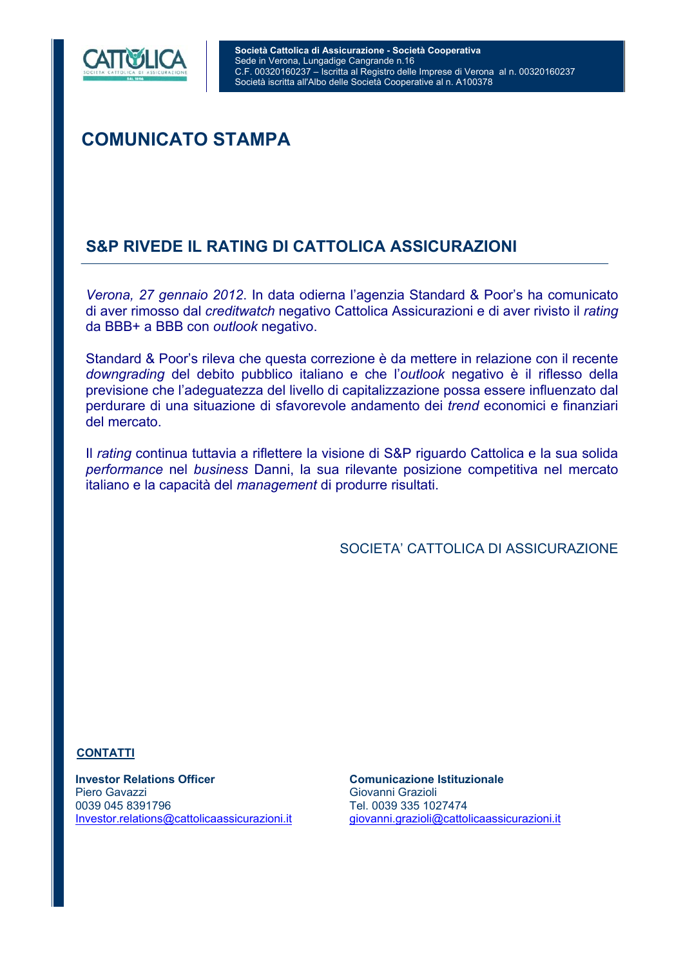

# **COMUNICATO STAMPA**

## **S&P RIVEDE IL RATING DI CATTOLICA ASSICURAZIONI**

*Verona, 27 gennaio 2012*. In data odierna l'agenzia Standard & Poor's ha comunicato di aver rimosso dal *creditwatch* negativo Cattolica Assicurazioni e di aver rivisto il *rating* da BBB+ a BBB con *outlook* negativo.

Standard & Poor's rileva che questa correzione è da mettere in relazione con il recente *downgrading* del debito pubblico italiano e che l'*outlook* negativo è il riflesso della previsione che l'adeguatezza del livello di capitalizzazione possa essere influenzato dal perdurare di una situazione di sfavorevole andamento dei *trend* economici e finanziari del mercato.

Il *rating* continua tuttavia a riflettere la visione di S&P riguardo Cattolica e la sua solida *performance* nel *business* Danni, la sua rilevante posizione competitiva nel mercato italiano e la capacità del *management* di produrre risultati.

SOCIETA' CATTOLICA DI ASSICURAZIONE

#### **CONTATTI**

**Investor Relations Officer Comunicazione Istituzionale** Piero Gavazzi da Maria (1999) - Ciovanni Grazioli<br>
20039 045 8391796 - Ciovanni Grazioli<br>
20039 335 102 Investor.relations@cattolicaassicurazioni.it giovanni.grazioli@cattolicaassicurazioni.it

Tel. 0039 335 1027474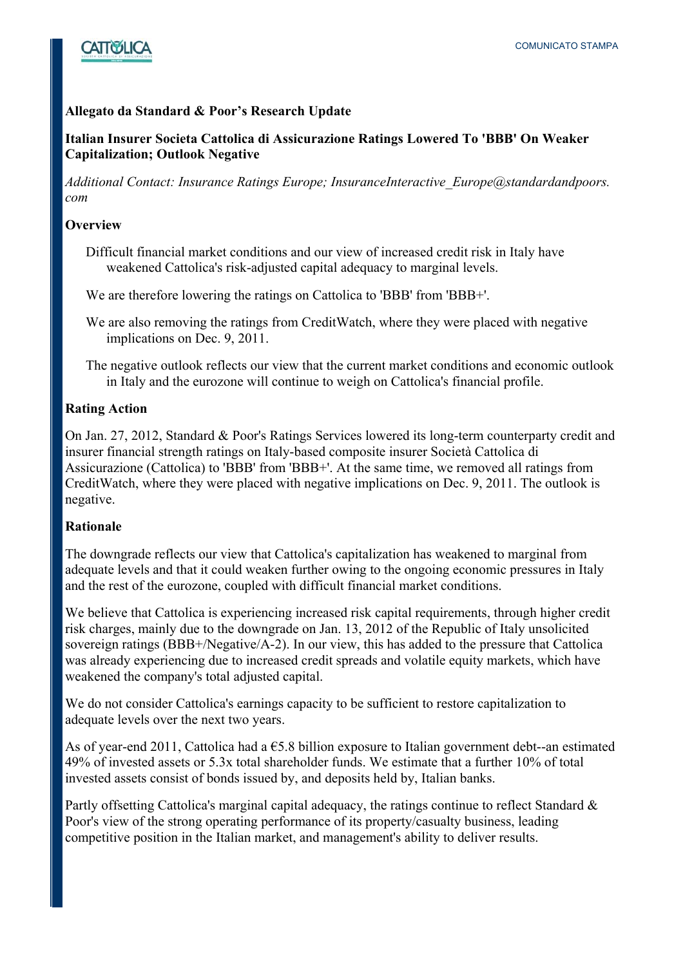

### **Allegato da Standard & Poor's Research Update**

### **Italian Insurer Societa Cattolica di Assicurazione Ratings Lowered To 'BBB' On Weaker Capitalization; Outlook Negative**

*Additional Contact: Insurance Ratings Europe; InsuranceInteractive\_Europe@standardandpoors. com* 

#### **Overview**

Difficult financial market conditions and our view of increased credit risk in Italy have weakened Cattolica's risk-adjusted capital adequacy to marginal levels.

We are therefore lowering the ratings on Cattolica to 'BBB' from 'BBB+'.

We are also removing the ratings from CreditWatch, where they were placed with negative implications on Dec. 9, 2011.

The negative outlook reflects our view that the current market conditions and economic outlook in Italy and the eurozone will continue to weigh on Cattolica's financial profile.

#### **Rating Action**

On Jan. 27, 2012, Standard & Poor's Ratings Services lowered its long-term counterparty credit and insurer financial strength ratings on Italy-based composite insurer Società Cattolica di Assicurazione (Cattolica) to 'BBB' from 'BBB+'. At the same time, we removed all ratings from CreditWatch, where they were placed with negative implications on Dec. 9, 2011. The outlook is negative.

#### **Rationale**

The downgrade reflects our view that Cattolica's capitalization has weakened to marginal from adequate levels and that it could weaken further owing to the ongoing economic pressures in Italy and the rest of the eurozone, coupled with difficult financial market conditions.

We believe that Cattolica is experiencing increased risk capital requirements, through higher credit risk charges, mainly due to the downgrade on Jan. 13, 2012 of the Republic of Italy unsolicited sovereign ratings  $(BBB+/Negative/A-2)$ . In our view, this has added to the pressure that Cattolica was already experiencing due to increased credit spreads and volatile equity markets, which have weakened the company's total adjusted capital.

We do not consider Cattolica's earnings capacity to be sufficient to restore capitalization to adequate levels over the next two years.

As of year-end 2011, Cattolica had a  $65.8$  billion exposure to Italian government debt--an estimated 49% of invested assets or 5.3x total shareholder funds. We estimate that a further 10% of total invested assets consist of bonds issued by, and deposits held by, Italian banks.

Partly offsetting Cattolica's marginal capital adequacy, the ratings continue to reflect Standard & Poor's view of the strong operating performance of its property/casualty business, leading competitive position in the Italian market, and management's ability to deliver results.